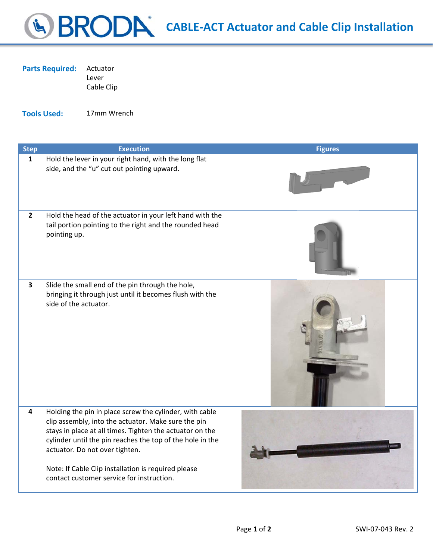## **CABLE‐ACT Actuator and Cable Clip Installation**

| <b>Parts Required: Actuator</b> |       |
|---------------------------------|-------|
|                                 | Lever |

Cable Clip

**Tools Used:** 17mm Wrench

| <b>Step</b>             | <b>Execution</b>                                                                                                                                                                                                                                                                                                                                                              | <b>Figures</b> |
|-------------------------|-------------------------------------------------------------------------------------------------------------------------------------------------------------------------------------------------------------------------------------------------------------------------------------------------------------------------------------------------------------------------------|----------------|
| $\mathbf{1}$            | Hold the lever in your right hand, with the long flat<br>side, and the "u" cut out pointing upward.                                                                                                                                                                                                                                                                           |                |
| $\mathbf{2}$            | Hold the head of the actuator in your left hand with the<br>tail portion pointing to the right and the rounded head<br>pointing up.                                                                                                                                                                                                                                           |                |
| $\mathbf{3}$            | Slide the small end of the pin through the hole,<br>bringing it through just until it becomes flush with the<br>side of the actuator.                                                                                                                                                                                                                                         |                |
| $\overline{\mathbf{4}}$ | Holding the pin in place screw the cylinder, with cable<br>clip assembly, into the actuator. Make sure the pin<br>stays in place at all times. Tighten the actuator on the<br>cylinder until the pin reaches the top of the hole in the<br>actuator. Do not over tighten.<br>Note: If Cable Clip installation is required please<br>contact customer service for instruction. |                |